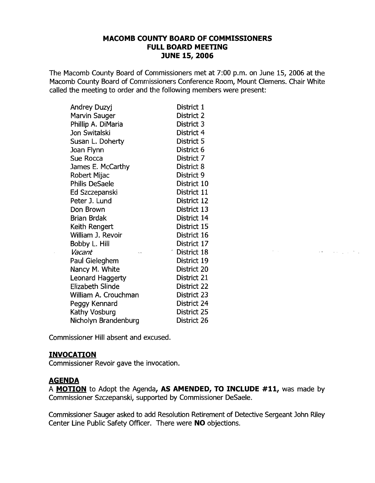### **MACOMB COUNTY BOARD OF COMMISSIONERS FULL BOARD MEETING JUNE 15, 2006**

The Macomb County Board of Commissioners met at 7:00 p.m. on June 15, 2006 at the Macomb County Board of Commissioners Conference Room, Mount Clemens. Chair White called the meeting to order and the following members were present:

| Andrey Duzyj            | District 1               |
|-------------------------|--------------------------|
| Marvin Sauger           | District 2               |
| Phillip A. DiMaria      | District 3               |
| Jon Switalski           | District 4               |
| Susan L. Doherty        | District 5               |
| Joan Flynn              | District 6               |
| Sue Rocca               | District 7               |
| James E. McCarthy       | District 8               |
| Robert Mijac            | District 9               |
| <b>Philis DeSaele</b>   | District 10              |
| Ed Szczepanski          | District 11              |
| Peter J. Lund           | District 12              |
| Don Brown               | District 13              |
| Brian Brdak             | District 14              |
| Keith Rengert           | District 15              |
| William J. Revoir       | District 16              |
| Bobby L. Hill           | District 17              |
| Vacant<br>k, s          | <sup>"</sup> District 18 |
| Paul Gieleghem          | District 19              |
| Nancy M. White          | District 20              |
| Leonard Haggerty        | District 21              |
| <b>Elizabeth Slinde</b> | District 22              |
| William A. Crouchman    | District 23              |
| Peggy Kennard           | District 24              |
| Kathy Vosburg           | District 25              |
| Nicholyn Brandenburg    | District 26              |

Commissioner Hill absent and excused.

# **INVOCATION**

Commissioner Revoir gave the invocation.

# **AGENDA**

 $\mathcal{L}$ 

A **MOTION** to Adopt the Agenda, **AS AMENDED, TO INCLUDE #11,** was made by Commissioner Szczepanski, supported by Commissioner DeSaele.

 $\mathcal{L}^{\mathcal{L}}(\mathcal{L}^{\mathcal{L}})$  and  $\mathcal{L}^{\mathcal{L}}(\mathcal{L}^{\mathcal{L}})$  and  $\mathcal{L}^{\mathcal{L}}(\mathcal{L}^{\mathcal{L}})$  and  $\mathcal{L}^{\mathcal{L}}(\mathcal{L}^{\mathcal{L}})$ 

Commissioner Sauger asked to add Resolution Retirement of Detective Sergeant John Riley Center Line Public Safety Officer. There were **NO** objections.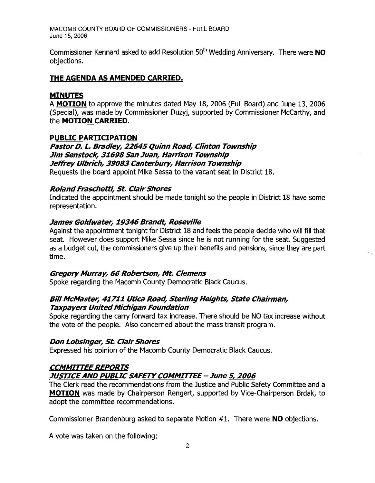Commissioner Kennard asked to add Resolution 50th Wedding Anniversary. There were **NO**  objections.

# **THE AGENDA AS AMENDED CARRIED.**

### **MINUTES**

A **MOTION** to approve the minutes dated May 18, 2006 (Full Board) and June 13, 2006 (Special), was made by Commissioner Duzyj, supported by Commissioner McCarthy, and the **MOTION CARRIED.** 

### **PUBLIC PARTICIPATION**

**Pastor D. L. Bradley, 22645 Quinn Road, Clinton Township Jim Senstock, 31698San Juan, Harrison Township Jeffrey Ulbrich, 39083 Canterbury, Harrison Township**  Requests the board appoint Mike Sessa to the vacant seat in District 18.

### **RolandFraschetti, St. ClairShores**

Indicated the appointment should be made tonight so the people in District 18 have some representation.

#### **James Goldwater, 19346 Brandt, Roseville**

Against the appointment tonight for District 18 and feels the people decide who will fill that seat. However does support Mike Sessa since he is not running for the seat. Suggested as a budget cut, the commissioners give up their benefits and pensions, since they are part time.

#### **Gregory Murray, 66 Robertson, Mt. Clemens**

Spoke regarding the Macomb County Democratic Black Caucus.

### **Bill McMaster, 41711 Utica Road, Sterling Heights, State Chairman, Taxpayers United Michigan Foundation**

Spoke regarding the carry forward tax increase. There should be NO tax increase without the vote of the people. Also concerned about the mass transit program.

#### **Don Lobsinger, St. Clair Shores**

Expressed his opinion of the Macomb County Democratic Black Caucus.

# **CCMMITTEE REPORTS**

### **JUSTICEAND PUBLICSAFETYCOMMITTEE - June 5, 2006**

The Clerk read the recommendations from the Justice and Public Safety Committee and a **MOTION** was made by Chairperson Rengert, supported by Vice-Chairperson Brdak, to adopt the committee recommendations.

Commissioner Brandenburg asked to separate Motion #1. There were **NO** objections.

A vote was taken on the following: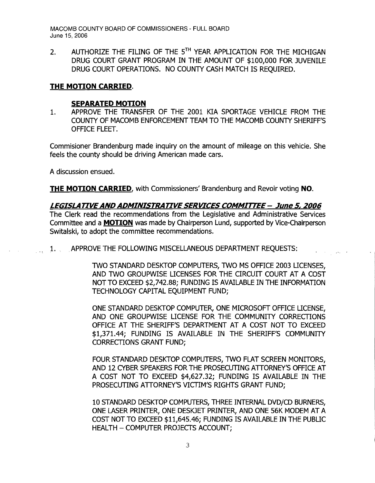2. AUTHORIZE THE FILING OF THE  $5^{TH}$  YEAR APPLICATION FOR THE MICHIGAN DRUG COURT GRANT PROGRAM IN THE AMOUNT OF \$100,000 FOR JUVENILE DRUG COURT OPERATIONS. NO COUNTY CASH MATCH IS REQUIRED.

# **THE MOTION CARRIED.**

#### **SEPARATED MOTION**

1. APPROVE THE TRANSFER OF THE 2001 KIA SPORTAGE VEHICLE FROM THE COUNTY OF MACOMB ENFORCEMENT TEAM TO THE MACOMB COUNTY SHERIFF'S OFFICE FLEET.

Commisioner Brandenburg made inquiry on the amount of mileage on this vehicle. She feels the county should be driving American made cars.

A discussion ensued.

**THE MOTION CARRIED,** with Commissioners' Brandenburg and Revoir voting **NO.** 

*LEGISLA TIVE AND ADMINISTRA TIVE SERVICES COMMITTEE* **- June 5,** *2006*  The Clerk read the recommendations from the Legislative and Administrative Services Committee and a **MOTION** was made by Chairperson Lund, supported by Vice-Chairperson Switalski, to adopt the committee recommendations.

1. APPROVE THE FOLLOWING MISCELLANEOUS DEPARTMENT REQUESTS:

TWO STANDARD DESKTOP COMPUTERS, TWO MS OFFICE 2003 LICENSES, AND TWO GROUPWISE LICENSES FOR THE CIRCUIT COURT AT A COST NOT TO EXCEED \$2,742.88; FUNDING IS AVAILABLE IN THE INFORMATION TECHNOLOGY CAPITAL EQUIPMENT FUND;

ONE STANDARD DESKTOP COMPUTER, ONE MICROSOFT OFFICE LICENSE, AND ONE GROUPWISE LICENSE FOR THE COMMUNITY CORRECTIONS OFFICE AT THE SHERIFF'S DEPARTMENT AT A COST NOT TO EXCEED \$1,371.44; FUNDING IS AVAILABLE IN THE SHERIFF'S COMMUNITY CORRECTIONS GRANT FUND;

FOUR STANDARD DESKTOP COMPUTERS, TWO FLAT SCREEN MONITORS, AND 12 CYBER SPEAKERS FOR THE PROSECUTING ATTORNEY'S OFFICE AT A COST NOT TO EXCEED \$4,627.32; FUNDING IS AVAILABLE IN THE PROSECUTING ATTORNEY'S VICTIM'S RIGHTS GRANT FUND;

10 STANDARD DESKTOP COMPUTERS, THREE INTERNAL DVD/CD BURNERS, ONE LASER PRINTER, ONE DESKJET PRINTER, AND ONE 56K MODEM AT A COST NOT TO EXCEED \$11,645.46; FUNDING IS AVAILABLE IN THE PUBLIC HEALTH - COMPUTER PROJECTS ACCOUNT;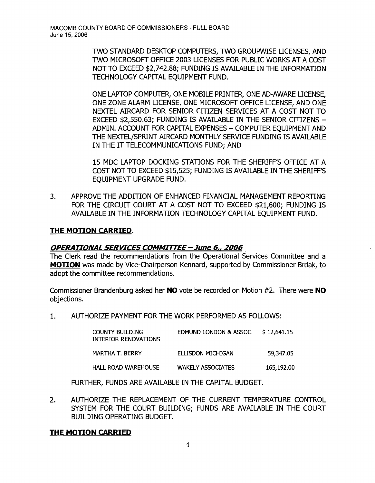TWO STANDARD DESKTOP COMPUTERS, TWO GROUPWISE UCENSES, AND TWO MICROSOFT OFFICE 2003 UCENSES FOR PUBLIC WORKS AT A COST NOT TO EXCEED \$2,742.88; FUNDING IS AVAILABLE IN THE INFORMATION TECHNOLOGY CAPITAL EQUIPMENT FUND.

ONE LAPTOP COMPUTER, ONE MOBILE PRINTER, ONE AD-AWARE UCENSE, ONE ZONE ALARM LICENSE, ONE MICROSOFT OFFICE LICENSE, AND ONE NEXTEL AIRCARD FOR SENIOR CITIZEN SERVICES AT A COST NOT TO  $EXCEED$  \$2,550.63; FUNDING IS AVAILABLE IN THE SENIOR CITIZENS  $-$ ADMIN. ACCOUNT FOR CAPITAL EXPENSES - COMPUTER EOUIPMENT AND THE NEXTEL/SPRINT AIRCARD MONTHLY SERVICE FUNDING IS AVAILABLE IN THE IT TELECOMMUNICATIONS FUND; AND

15 MDC LAPTOP DOCKING STATIONS FOR THE SHERIFF'S OFFICE AT A COST NOT TO EXCEED \$15,525; FUNDING IS AVAILABLE IN THE SHERIFF'S EQUIPMENT UPGRADE FUND.

3. APPROVE THE ADDITION OF ENHANCED FINANCIAL MANAGEMENT REPORTING FOR THE CIRCUIT COURT AT A COST NOT TO EXCEED \$21,600; FUNDING IS AVAILABLE IN THE INFORMATION TECHNOLOGY CAPITAL EQUIPMENT FUND.

### **THE MOTION CARRIED.**

#### **OPERATIONAL SERVICES COMMIrrEE - June 6« 2006**

The Clerk read the recommendations from the Operational Services Committee and a **MOTION** was made by Vice-Chairperson Kennard, supported by Commissioner Brdak, to adopt the committee recommendations.

Commissioner Brandenburg asked her **NO** vote be recorded on Motion #2. There were **NO**  objections.

1. AUTHORIZE PAYMENT FOR THE WORK PERFORMED AS FOLLOWS:

| <b>COUNTY BUILDING -</b><br>INTERIOR RENOVATIONS | EDMUND LONDON & ASSOC.   | \$12,641.15 |
|--------------------------------------------------|--------------------------|-------------|
| MARTHA T. BERRY                                  | ELLISDON MICHIGAN        | 59,347.05   |
| <b>HALL ROAD WAREHOUSE</b>                       | <b>WAKELY ASSOCIATES</b> | 165,192.00  |

FURTHER, FUNDS ARE AVAILABLE IN THE CAPITAL BUDGET.

2. AUTHORIZE THE REPLACEMENT OF THE CURRENT TEMPERATURE CONTROL SYSTEM FOR THE COURT BUILDING; FUNDS ARE AVAILABLE IN THE COURT BUILDING OPERATING BUDGET.

#### **THE MOTION CARRIED**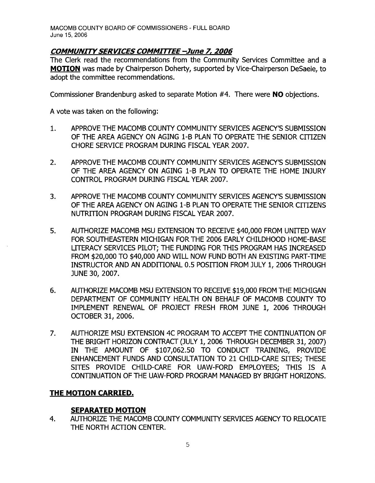### **COMMUNITY SERVICES COMMITTEE -June 7, 2006**

The Clerk read the recommendations from the Community Services Committee and a **MOTION** was made by Chairperson Doherty, supported by Vice-Chairperson DeSaele, to adopt the committee recommendations.

Commissioner Brandenburg asked to separate Motion #4. There were **NO** objections.

A vote was taken on the following:

- 1. APPROVE THE MACOMB COUNTY COMMUNITY SERVICES AGENCY'S SUBMISSION OF THE AREA AGENCY ON AGING 1-B PLAN TO OPERATE THE SENIOR CITIZEN CHORE SERVICE PROGRAM DURING FISCAL YEAR 2007.
- 2. APPROVE THE MACOMB COUNTY COMMUNITY SERVICES AGENCY'S SUBMISSION OF THE AREA AGENCY ON AGING 1-B PLAN TO OPERATE THE HOME INJURY CONTROL PROGRAM DURING FISCAL YEAR 2007.
- 3. APPROVE THE MACOMB COUNTY COMMUNITY SERVICES AGENCY'S SUBMISSION OF THE AREA AGENCY ON AGING 1-B PLAN TO OPERATE THE SENIOR CITIZENS NUTRITION PROGRAM DURING FISCAL YEAR 2007.
- 5. AUTHORIZE MACOMB MSU EXTENSION TO RECEIVE \$40,000 FROM UNITED WAY FOR SOUTHEASTERN MICHIGAN FOR THE 2006 EARLY CHILDHOOD HOME-BASE LITERACY SERVICES PILOT; THE FUNDING FOR THIS PROGRAM HAS INCREASED FROM \$20,000 TO \$40,000 AND WILL NOW FUND BOTH AN EXISTING PART-TIME INSTRUCTOR AND AN ADDITIONAL 0.5 POSITION FROM JULY 1, 2006 THROUGH JUNE 30, 2007.
- 6. AUTHORIZE MACOMB MSU EXTENSION TO RECEIVE \$19,000 FROM THE MICHIGAN DEPARTMENT OF COMMUNITY HEALTH ON BEHALF OF MACOMB COUNTY TO IMPLEMENT RENEWAL OF PROJECT FRESH FROM JUNE 1, 2006 THROUGH OCTOBER 31, 2006.
- 7. AUTHORIZE MSU EXTENSION 4C PROGRAM TO ACCEPT THE CONTINUATION OF THE BRIGHT HORIZON CONTRACT (JULY 1, 2006 THROUGH DECEMBER 31,2007) IN THE AMOUNT OF \$107,062.50 TO CONDUCT TRAINING, PROVIDE ENHANCEMENT FUNDS AND CONSULTATION TO 21 CHILD-CARE SITES; THESE SITES PROVIDE CHILD-CARE FOR UAW-FORD EMPLOYEES; THIS IS A CONTINUATION OF THE UAW-FORD PROGRAM MANAGED BY BRIGHT HORIZONS.

# **THE MOTION CARRIED.**

# **SEPARATED MOTION**

4. AUTHORIZE THE MACOMB COUNTY COMMUNITY SERVICES AGENCY TO RELOCATE THE NORTH ACTION CENTER.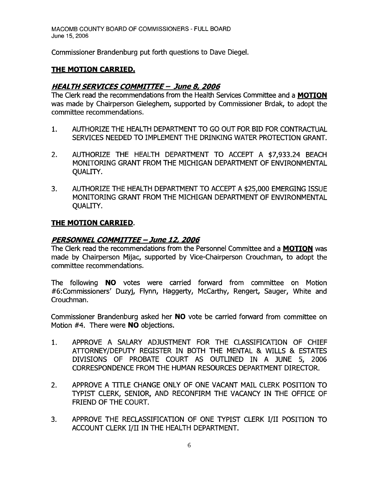Commissioner Brandenburg put forth questions to Dave Diegel.

# **THE MOTION CARRIED.**

### **HEALTH SERVICES COMMITTEE - June 8, 2006**

The Clerk read the recommendations from the Health Services Committee and a **MOTION**  was made by Chairperson Gieleghem, supported by Commissioner Brdak, to adopt the committee recommendations.

- 1. AUTHORIZE THE HEALTH DEPARTMENT TO GO OUT FOR BID FOR CONTRACTUAL SERVICES NEEDED TO IMPLEMENT THE DRINKING WATER PROTECTION GRANT.
- 2. AUTHORIZE THE HEALTH DEPARTMENT TO ACCEPT A \$7,933.24 BEACH MONITORING GRANT FROM THE MICHIGAN DEPARTMENT OF ENVIRONMENTAL QUALITY.
- 3. AUTHORIZE THE HEALTH DEPARTMENT TO ACCEPT A \$25,000 EMERGING ISSUE MONITORING GRANT FROM THE MICHIGAN DEPARTMENT OF ENVIRONMENTAL QUALITY.

#### **THE MOTION CARRIED.**

### **PERSONNEL COMMITTEE - June 12, 2006**

The Clerk read the recommendations from the Personnel Committee and a**MOTION** was made by Chairperson Mijac, supported by Vice-Chairperson Crouchman, to adopt the committee recommendations.

The following **NO** votes were carried forward from committee on Motion #6:Commissioners' Duzyj, Flynn, Haggerty, McCarthy, Rengert, Sauger, White and Crouchman.

Commissioner Brandenburg asked her **NO** vote be carried forward from committee on Motion #4. There were **NO** objections.

- 1. APPROVE A SALARY ADJUSTMENT FOR THE CLASSIFICATION OF CHIEF ATTORNEY/DEPUTY REGISTER IN BOTH THE MENTAL & WILLS & ESTATES DIVISIONS OF PROBATE COURT AS OUTLINED IN A JUNE 5, 2006 CORRESPONDENCE FROM THE HUMAN RESOURCES DEPARTMENT DIRECTOR.
- 2. APPROVE A TITLE CHANGE ONLY OF ONE VACANT MAIL CLERK POSITION TO TYPIST CLERK, SENIOR, AND RECONFIRM THE VACANCY IN THE OFFICE OF FRIEND OF THE COURT.
- 3. APPROVE THE RECLASSIFICATION OF ONE TYPIST CLERK I/II POSITION TO ACCOUNT CLERK I/II IN THE HEALTH DEPARTMENT.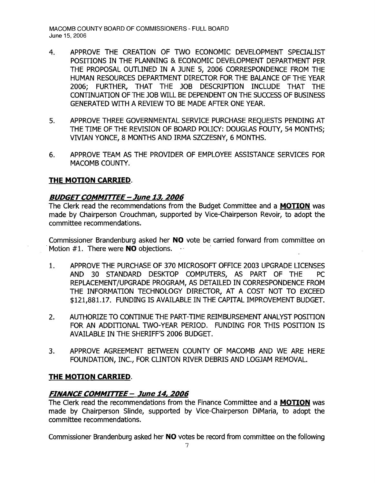- 4. APPROVE THE CREATION OF TWO ECONOMIC DEVELOPMENT SPECIALIST POSITIONS IN THE PLANNING & ECONOMIC DEVELOPMENT DEPARTMENT PER THE PROPOSAL OUTLINED IN A JUNE 5, 2006 CORRESPONDENCE FROM THE HUMAN RESOURCES DEPARTMENT DIRECTOR FOR THE BALANCE OF THE YEAR 2006; FURTHER, THAT THE JOB DESCRlPTION INCLUDE THAT THE CONTINUATION OF THE JOB WILL BE DEPENDENT ON THE SUCCESS OF BUSINESS GENERATED WITH A REVIEW TO BE MADE AFrER ONE YEAR.
- 5. APPROVE THREE GOVERNMENTAL SERVICE PURCHASE REQUESTS PENDING AT THE TIME OF THE REVISION OF BOARD POLICY: DOUGLAS FOUTY, 54 MONTHS; VIVIAN YONCE, 8 MONTHS AND IRMA SZCZESNY, 6 MONTHS.
- 6. APPROVE TEAM AS THE PROVIDER OF EMPLOYEE ASSISTANCE SERVICES FOR MACOMB COUNTY.

### **THE MOTION CARRIED.**

### **BUDGETCOMMrn-EE - June 13, 2006**

The Clerk read the recommendations from the Budget Committee and a **MOTION** was made by Chairperson Crouchman, supported by Vice-Chairperson Revoir, to adopt the committee recommendations.

Commissioner Brandenburg asked her **NO** vote be carried forward from committee on Motion #1. There were **NO** objections.

- 1. APPROVE THE PURCHASE OF 370 MICROSOFT OFFICE 2003 UPGRADE LICENSES AND 30 STANDARD DESKTOP COMPUTERS, AS PART OF THE PC REPLACEMENT/UPGRADE PROGRAM, AS DETAILED IN CORRESPONDENCE FROM THE INFORMATION TECHNOLOGY DIRECTOR, AT A COST NOT TO EXCEED \$121,881.17. FUNDING IS AVAILABLE IN THE CAPITAL IMPROVEMENT BUDGET.
- 2. AUTHORIZE TO CONTINUE THE PART-TIME REIMBURSEMENT ANALYST POSITION FOR AN ADDITIONAL TWO-YEAR PERIOD. FUNDING FOR THIS POSITION IS AVAILABLE IN THE SHERIFF'S 2006 BUDGET.
- 3. APPROVE AGREEMENT BETWEEN COUNTY OF MACOMB AND WE ARE HERE FOUNDATION, INC., FOR CLINTON RIVER DEBRIS AND LOGJAM REMOVAL.

#### **THE MOTION CARRIED.**

# **FINANCE COMMITTEE - June 14, 2006**

The Clerk read the recommendations from the Finance Committee and a **MOTION** was made by Chairperson Slinde, supported by Vice-Chairperson DiMaria, to adopt the committee recommendations.

Commissioner Brandenburg asked her **NO** votes be record from committee on the following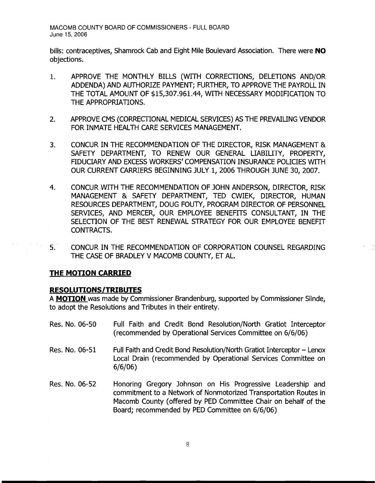bills: contraceptives, Shamrock Cab and Eight Mile Boulevard Association. There were **NO**  objections.

- 1. APPROVE THE MONTHLY BILLS (WITH CORRECTIONS, DELETIONS AND/OR ADDENDA) AND AUTHORIZE PAYMENT; FURTHER, TO APPROVE THE PAYROLL IN THE TOTAL AMOUNT OF \$15,307.961.44, WITH NECESSARY MODIFICATION TO THE APPROPRIATIONS.
- 2. APPROVE CMS (CORRECTIONAL MEDICAL SERVICES) AS THE PREVAILING VENDOR FOR INMATE HEALTH CARE SERVICES MANAGEMENT.
- 3. CONCUR IN THE RECOMMENDATION OF THE DIRECTOR, RISK MANAGEMENT & SAFETY DEPARTMENT, TO RENEW OUR GENERAL LIABILITY, PROPERTY, FIDUCIARY AND EXCESS WORKERS' COMPENSATION INSURANCE POLICIES WITH OUR CURRENT CARRIERS BEGINNING JULY 1, 2006 THROUGH JUNE 30, 2007.
- 4. CONCUR WITH THE RECOMMENDATION OF JOHN ANDERSON, DIRECTOR, RISK MANAGEMENT & SAFETY DEPARTMENT, TED CWIEK, DIRECTOR, HUMAN RESOURCES DEPARTMENT, DOUG FOUTY, PROGRAM DIRECTOR OF PERSONNEL SERVICES, AND MERCER, OUR EMPLOYEE BENEFITS CONSULTANT, IN THE SELECTION OF THE BEST RENEWAL STRATEGY FOR OUR EMPLOYEE BENEFIT CONTRACTS.
- 5. CONCUR IN THE RECOMMENDATION OF CORPORATION COUNSEL REGARDING THE CASE OF BRADLEY V MACOMB COUNTY, ET AL.

#### **THE MOTION CARRIED**

 $\sim$ 

#### **RESOLUTIONS/TRIBUTES**

6/6/06)

A **MOTION** was made by Commissioner Brandenburg, supported by Commissioner Slinde, to adopt the Resolutions and Tributes in their entirety.

- Res. No. 06-50 Full Faith and Credit Bond Resolution/North Gratiot Interceptor (recommended by Operational Services Committee on 6/6/06) Res. No. 06-51 Full Faith and Credit Bond Resolution/North Gratiot Interceptor – Lenox Local Drain (recommended by Operational Services Committee on
- Res. No. 06-52 Honoring Gregory Johnson on His Progressive Leadership and commitment to a Network of Nonmotorized Transportation Routes in Macomb County (offered by PED Committee Chair on behalf of the Board; recommended by PED Committee on 6/6/06)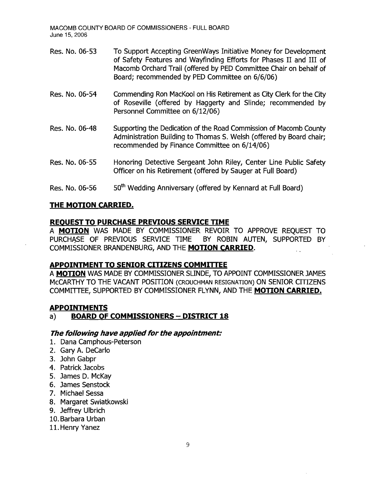- Res. No. 06-53 To Support Accepting GreenWays Initiative Money for Development of Safety Features and Wayfrnding Efforts for Phases II and III of Macomb Orchard Trail (offered by PED Committee Chair on behalf of Board; recommended by PED Committee on 6/6/06)
- Res. No. 06-54 Commending Ron MacKool on His Retirement as City Clerk for the City of Roseville (offered by Haggerty and Slinde; recommended by Personnel Committee on 6/12/06)
- Res. No. 06-48 Supporting the Dedication of the Road Commission of Macomb County Administration Building to Thomas S. Welsh (offered by Board chair; recommended by Finance Committee on 6/14/06)
- Res. No. 06-55 Honoring Detective Sergeant John Riley, Center Line Public Safety Officer on his Retirement (offered by Sauger at Full Board)
- Res. No. 06-56  $-50<sup>th</sup>$  Wedding Anniversary (offered by Kennard at Full Board)

### **THE MOTION CARRIED.**

#### **REOUEST TO PURCHASE PREVIOUS SERVICE TIME**

A **MOTION** WAS MADE BY COMMISSIONER REVOIR TO APPROVE REQUEST TO PURCHASE OF PREVIOUS SERVICE TIME BY ROBIN AUTEN, SUPPORTED BY COMMISSIONER BRANDENBURG, AND THE **MOTION CARRIED.** 

# **APPOINTMENT TO SENIOR CITIZENS COMMITTEE**

A **MOTION** WAS MADE BY COMMISSIONER SUNDE, TO APPOINT COMMISSIONER JAMES McCARTHY TO THE VACANT POSITION (CROUCHMAN RESIGNATION) ON SENIOR CITIZENS COMMmEE, SUPPORTED BY COMMISSIONER FLYNN, AND THE **MOTION CARRIED.** 

# **APPOIN"rMENTS**

# a) **BOARD OF COMMISSIONERS - DISTRICT 18**

#### **The following have applied for the appointment:**

- 1. Dana Camphous-Peterson
- 2. Gary A. DeCarlo
- 3. John Gabpr
- 4. Patrick Jacobs
- 5. James D. McKay
- 6. James Senstock
- 7. Michael Sessa
- 8. Margaret Swiatkowski
- 9. Jeffrey Ulbrich
- 10. Barbara Urban
- 11. Henry Yanez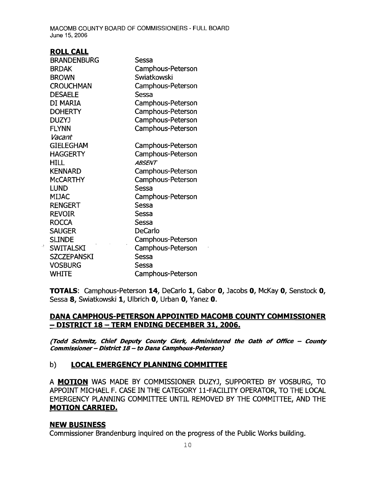#### ROLL CALL

 $\mathbb{R}^4$ 

| <b>BRANDENBURG</b> | Sessa             |
|--------------------|-------------------|
| <b>BRDAK</b>       | Camphous-Peterson |
| <b>BROWN</b>       | Swiatkowski       |
| <b>CROUCHMAN</b>   | Camphous-Peterson |
| <b>DESAELE</b>     | Sessa             |
| DI MARIA           | Camphous-Peterson |
| <b>DOHERTY</b>     | Camphous-Peterson |
| DUZYJ              | Camphous-Peterson |
| <b>FLYNN</b>       | Camphous-Peterson |
| Vacant             |                   |
| <b>GIELEGHAM</b>   | Camphous-Peterson |
| <b>HAGGERTY</b>    | Camphous-Peterson |
| HILL               | <b>ABSENT</b>     |
| <b>KENNARD</b>     | Camphous-Peterson |
| <b>MCCARTHY</b>    | Camphous-Peterson |
| <b>LUND</b>        | Sessa             |
| <b>MIJAC</b>       | Camphous-Peterson |
| <b>RENGERT</b>     | Sessa             |
| <b>REVOIR</b>      | Sessa             |
| <b>ROCCA</b>       | Sessa             |
| <b>SAUGER</b>      | <b>DeCarlo</b>    |
| <b>SLINDE</b>      | Camphous-Peterson |
| <b>SWITALSKI</b>   | Camphous-Peterson |
| <b>SZCZEPANSKI</b> | Sessa             |
| <b>VOSBURG</b>     | Sessa             |
| WHITE              | Camphous-Peterson |

TOTALS: Camphous-Peterson 14, DeCarlo 1, Gabor 0, Jacobs 0, McKay 0, Senstock 0, Sessa 8, Swiatkowski 1, Ulbrich 0, Urban 0, Yanez 0.

### DANA CAMPHOUS-PETERSON APPOINTED MACOMB COUNTY COMMISSIONER - DISTRICT 18 - TERM ENDING DECEMBER 31, 2006.

(Todd Schmitz, Chief Deputy County Clerk, Administered the Oath of Office - County Commissioner - District 18 - to Dana Camphous-Peterson)

# b) LOCAL EMERGENCY PLANNING COMMITTEE

A **MOTION** WAS MADE BY COMMISSIONER DUZYJ, SUPPORTED BY VOSBURG, TO APPOINT MICHAEL F. CASE IN THE CATEGORY ll-FACILITY OPERATOR, TO THE LOCAL EMERGENCY PLANNING COMMITTEE UNTIL REMOVED BY THE COMMITTEE, AND THE MOTION CARR:[ED.

#### NEW BUSINESS

Commissioner Brandenburg inquired on the progress of the Public Works building.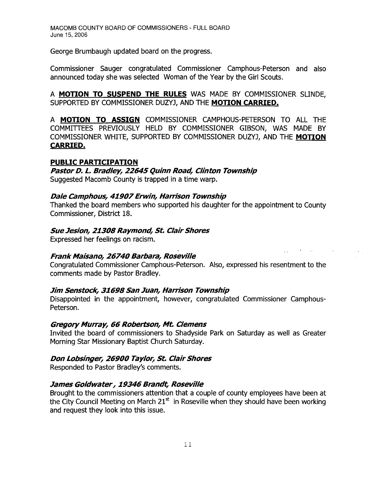George Brumbaugh updated board on the progress.

Commissioner Sauger congratulated Commissioner Camphous-Peterson and also announced today she was selected Woman of the Year by the Girl Scouts.

A **MOTION TO SUSPEND THE RULES** WAS MADE BY COMMISSIONER SUNDE, SUPPORTED BY COMMISSIONER DUZYJ, AND THE **MOTION CARRIED.** 

A **MOTION TO ASSIGN** COMMISSIONER CAMPHOUS-PETERSON TO ALL THE COMMITTEES PREVIOUSLY HELD BY COMMISSIONER GIBSON, WAS MADE BY COMMISSIONER WHITE, SUPPORTED BY COMMISSIONER DUZYJ, AND THE MOTION **CARRIED.** 

### **PUBLIC PARTICIPATION**

**Pastor D. L. Bradley, 22645 Quinn Road, Clinton Township**  Suggested Macomb County is trapped in a time warp.

### **Dale Camphous, 41907Erwin, Harrison Township**

Thanked the board members who supported his daughter for the appointment to County Commissioner, District 18.

### **Sue Jesion, 21308 Raymond, St. Clair Shores**

Expressed her feelings on racism.

# **Frank Maisano, 26740 Barbara, Roseville**

Congratulated Commissioner Camphous-Peterson. Also, expressed his resentment to the comments made by Pastor Bradley.

#### **Jim Senstock, 31698 San Juan, Harrison Township**

Disappointed in the appointment, however, congratulated Commissioner Camphous-Peterson.

#### **Gregory Murray, 66 Robertson, Mt. Clemens**

Invited the board of commissioners to Shadyside Park on Saturday as well as Greater Morning Star Missionary Baptist Church Saturday.

# **Don Lobsinger, 26900 Taylor, St. ClairShores**

Responded to Pastor Bradley's comments.

# **James Goldwater, 19346 Brandt, Roseville**

Brought to the commissioners attention that a couple of county employees have been at the City Council Meeting on March  $21<sup>st</sup>$  in Roseville when they should have been working and request they look into this issue.